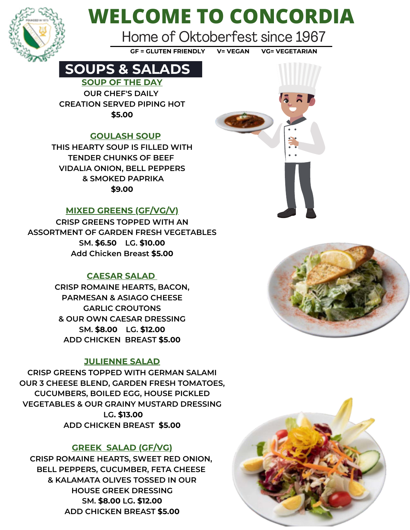

# **WELCOME TO CONCORDIA**

Home of Oktoberfest since 1967

**GF = GLUTEN FRIENDLY V= VEGAN VG= VEGETARIAN**

### **SOUPS & SALADS**

**SOUP OF THE DAY OUR CHEF'S DAILY CREATION SERVED PIPING HOT \$5.00**

### **GOULASH SOUP**

**THIS HEARTY SOUP IS FILLED WITH TENDER CHUNKS OF BEEF VIDALIA ONION, BELL PEPPERS & SMOKED PAPRIKA \$9.00**

### **MIXED GREENS (GF/VG/V)**

**CRISP GREENS TOPPED WITH AN ASSORTMENT OF GARDEN FRESH VEGETABLES SM. \$6.50 LG. \$10.00 Add Chicken Breast \$5.00**

### **CAESAR SALAD**

**CRISP ROMAINE HEARTS, BACON, PARMESAN & ASIAGO CHEESE GARLIC CROUTONS & OUR OWN CAESAR DRESSING SM. \$8.00 LG. \$12.00 ADD CHICKEN BREAST \$5.00**

### **JULIENNE SALAD**

**CRISP GREENS TOPPED WITH GERMAN SALAMI OUR 3 CHEESE BLEND, GARDEN FRESH TOMATOES, CUCUMBERS, BOILED EGG, HOUSE PICKLED VEGETABLES & OUR GRAINY MUSTARD DRESSING LG. \$13.00 ADD CHICKEN BREAST \$5.00**

### **GREEK SALAD (GF/VG)**

**CRISP ROMAINE HEARTS, SWEET RED ONION, BELL PEPPERS, CUCUMBER, FETA CHEESE & KALAMATA OLIVES TOSSED IN OUR HOUSE GREEK DRESSING SM. \$8.00 LG. \$12.00 ADD CHICKEN BREAST \$5.00**





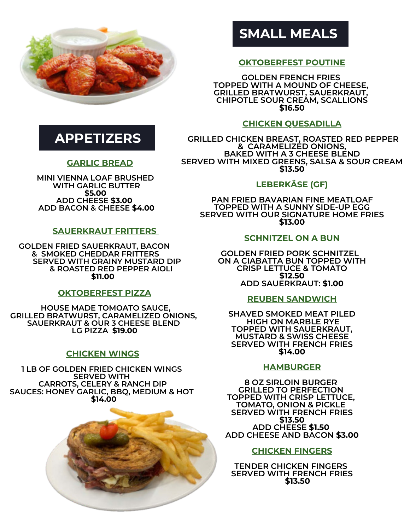

### **APPETIZERS**

### **GARLIC BREAD**

**MINI VIENNA LOAF BRUSHED WITH GARLIC BUTTER \$5.00 ADD CHEESE \$3.00 ADD BACON & CHEESE \$4.00**

### **SAUERKRAUT FRITTERS**

**GOLDEN FRIED SAUERKRAUT, BACON & SMOKED CHEDDAR FRITTERS SERVED WITH GRAINY MUSTARD DIP & ROASTED RED PEPPER AIOLI \$11.00**

### **OKTOBERFEST PIZZA**

 **HOUSE MADE TOMOATO SAUCE, GRILLED BRATWURST, CARAMELIZED ONIONS, SAUERKRAUT & OUR 3 CHEESE BLEND LG PIZZA \$19.00**

### **CHICKEN WINGS**

**1 LB OF GOLDEN FRIED CHICKEN WINGS SERVED WITH CARROTS, CELERY & RANCH DIP SAUCES: HONEY GARLIC, BBQ, MEDIUM & HOT \$14.00**



### **SMALL MEALS**

### **OKTOBERFEST POUTINE**

**GOLDEN FRENCH FRIES TOPPED WITH A MOUND OF CHEESE, GRILLED BRATWURST, SAUERKRAUT, CHIPOTLE SOUR CREAM, SCALLIONS \$16.50**

### **CHICKEN QUESADILLA**

 **GRILLED CHICKEN BREAST, ROASTED RED PEPPER & CARAMELIZED ONIONS, BAKED WITH A 3 CHEESE BLEND SERVED WITH MIXED GREENS, SALSA & SOUR CREAM \$13.50**

### **LEBERKÄSE (GF)**

**PAN FRIED BAVARIAN FINE MEATLOAF TOPPED WITH A SUNNY SIDE-UP EGG SERVED WITH OUR SIGNATURE HOME FRIES \$13.00**

#### **SCHNITZEL ON A BUN**

**GOLDEN FRIED PORK SCHNITZEL ON A CIABATTA BUN TOPPED WITH CRISP LETTUCE & TOMATO \$12.50 ADD SAUERKRAUT: \$1.00**

#### **REUBEN SANDWICH**

**SHAVED SMOKED MEAT PILED HIGH ON MARBLE RYE TOPPED WITH SAUERKRAUT, MUSTARD & SWISS CHEESE SERVED WITH FRENCH FRIES \$14.00**

#### **HAMBURGER**

**8 OZ SIRLOIN BURGER GRILLED TO PERFECTION TOPPED WITH CRISP LETTUCE, TOMATO, ONION & PICKLE SERVED WITH FRENCH FRIES \$13.50 ADD CHEESE \$1.50 ADD CHEESE AND BACON \$3.00**

#### **CHICKEN FINGERS**

**TENDER CHICKEN FINGERS SERVED WITH FRENCH FRIES \$13.50**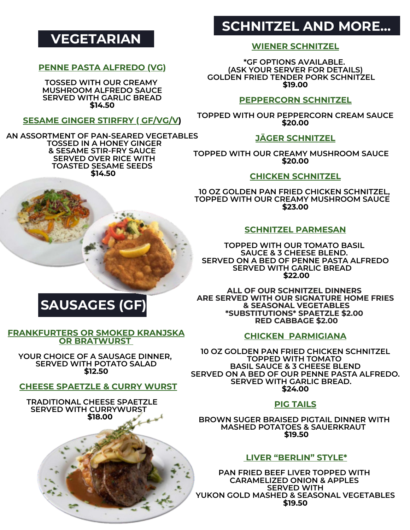### **VEGETARIAN**

### **PENNE PASTA ALFREDO (VG)**

**TOSSED WITH OUR CREAMY MUSHROOM ALFREDO SAUCE SERVED WITH GARLIC BREAD \$14.50**

### **SESAME GINGER STIRFRY ( GF/VG/V)**

**AN ASSORTMENT OF PAN-SEARED VEGETABLES TOSSED IN A HONEY GINGER & SESAME STIR-FRY SAUCE SERVED OVER RICE WITH TOASTED SESAME SEEDS \$14.50**



### **SCHNITZEL AND MORE…**

### **WIENER SCHNITZEL**

**\*GF OPTIONS AVAILABLE. (ASK YOUR SERVER FOR DETAILS) GOLDEN FRIED TENDER PORK SCHNITZEL \$19.00**

### **PEPPERCORN SCHNITZEL**

**TOPPED WITH OUR PEPPERCORN CREAM SAUCE \$20.00**

### **JÄGER SCHNITZEL**

**TOPPED WITH OUR CREAMY MUSHROOM SAUCE \$20.00**

### **CHICKEN SCHNITZEL**

**10 OZ GOLDEN PAN FRIED CHICKEN SCHNITZEL, TOPPED WITH OUR CREAMY MUSHROOM SAUCE \$23.00**

### **SCHNITZEL PARMESAN**

**TOPPED WITH OUR TOMATO BASIL SAUCE & 3 CHEESE BLEND. SERVED ON A BED OF PENNE PASTA ALFREDO SERVED WITH GARLIC BREAD \$22.00**

**ALL OF OUR SCHNITZEL DINNERS ARE SERVED WITH OUR SIGNATURE HOME FRIES & SEASONAL VEGETABLES \*SUBSTITUTIONS\* SPAETZLE \$2.00 RED CABBAGE \$2.00**

### **CHICKEN PARMIGIANA**

**10 OZ GOLDEN PAN FRIED CHICKEN SCHNITZEL TOPPED WITH TOMATO BASIL SAUCE & 3 CHEESE BLEND SERVED ON A BED OF OUR PENNE PASTA ALFREDO. SERVED WITH GARLIC BREAD. \$24.00**

### **PIG TAILS**

**BROWN SUGER BRAISED PIGTAIL DINNER WITH MASHED POTATOES & SAUERKRAUT \$19.50**

### **LIVER "BERLIN" STYLE\***

**PAN FRIED BEEF LIVER TOPPED WITH CARAMELIZED ONION & APPLES SERVED WITH YUKON GOLD MASHED & SEASONAL VEGETABLES \$19.50**

## **SAUSAGES (GF)**

#### **FRANKFURTERS OR SMOKED KRANJSKA OR BRATWURST**

**YOUR CHOICE OF A SAUSAGE DINNER, SERVED WITH POTATO SALAD \$12.50**

### **CHEESE SPAETZLE & CURRY WURST**

 **TRADITIONAL CHEESE SPAETZLE SERVED WITH CURRYWURST \$18.00**